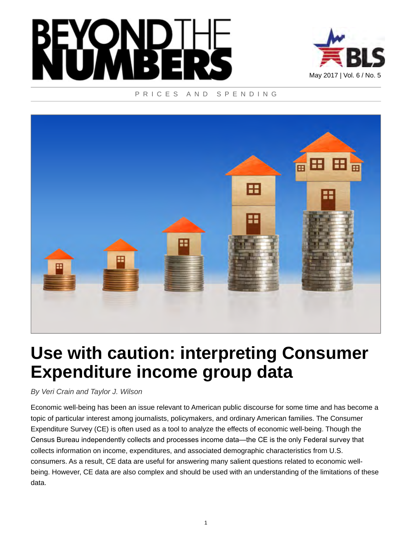



#### PRICES AND SPENDING



# **Use with caution: interpreting Consumer Expenditure income group data**

*By Veri Crain and Taylor J. Wilson*

Economic well-being has been an issue relevant to American public discourse for some time and has become a topic of particular interest among journalists, policymakers, and ordinary American families. The Consumer Expenditure Survey (CE) is often used as a tool to analyze the effects of economic well-being. Though the Census Bureau independently collects and processes income data—the CE is the only Federal survey that collects information on income, expenditures, and associated demographic characteristics from U.S. consumers. As a result, CE data are useful for answering many salient questions related to economic wellbeing. However, CE data are also complex and should be used with an understanding of the limitations of these data.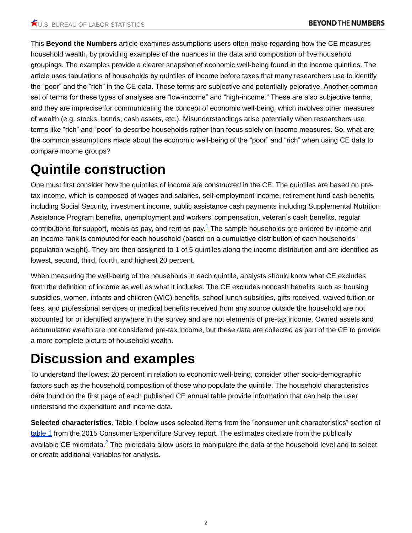This **Beyond the Numbers** article examines assumptions users often make regarding how the CE measures household wealth, by providing examples of the nuances in the data and composition of five household groupings. The examples provide a clearer snapshot of economic well-being found in the income quintiles. The article uses tabulations of households by quintiles of income before taxes that many researchers use to identify the "poor" and the "rich" in the CE data. These terms are subjective and potentially pejorative. Another common set of terms for these types of analyses are "low-income" and "high-income." These are also subjective terms, and they are imprecise for communicating the concept of economic well-being, which involves other measures of wealth (e.g. stocks, bonds, cash assets, etc.). Misunderstandings arise potentially when researchers use terms like "rich" and "poor" to describe households rather than focus solely on income measures. So, what are the common assumptions made about the economic well-being of the "poor" and "rich" when using CE data to compare income groups?

### **Quintile construction**

<span id="page-1-0"></span>One must first consider how the quintiles of income are constructed in the CE. The quintiles are based on pretax income, which is composed of wages and salaries, self-employment income, retirement fund cash benefits including Social Security, investment income, public assistance cash payments including Supplemental Nutrition Assistance Program benefits, unemployment and workers' compensation, veteran's cash benefits, regular contributions for support, meals as pay, and rent as pay. $^1$  $^1$  The sample households are ordered by income and an income rank is computed for each household (based on a cumulative distribution of each households' population weight). They are then assigned to 1 of 5 quintiles along the income distribution and are identified as lowest, second, third, fourth, and highest 20 percent.

When measuring the well-being of the households in each quintile, analysts should know what CE excludes from the definition of income as well as what it includes. The CE excludes noncash benefits such as housing subsidies, women, infants and children (WIC) benefits, school lunch subsidies, gifts received, waived tuition or fees, and professional services or medical benefits received from any source outside the household are not accounted for or identified anywhere in the survey and are not elements of pre-tax income. Owned assets and accumulated wealth are not considered pre-tax income, but these data are collected as part of the CE to provide a more complete picture of household wealth.

## **Discussion and examples**

To understand the lowest 20 percent in relation to economic well-being, consider other socio-demographic factors such as the household composition of those who populate the quintile. The household characteristics data found on the first page of each published CE annual table provide information that can help the user understand the expenditure and income data.

<span id="page-1-1"></span>**Selected characteristics.** Table 1 below uses selected items from the "consumer unit characteristics" section of [table 1](https://www.bls.gov/opub/reports/consumer-expenditures/2015/home.htm#table1) from the 2015 Consumer Expenditure Survey report. The estimates cited are from the publically available CE microdata. $_{-}^{2}$  $_{-}^{2}$  $_{-}^{2}$  The microdata allow users to manipulate the data at the household level and to select or create additional variables for analysis.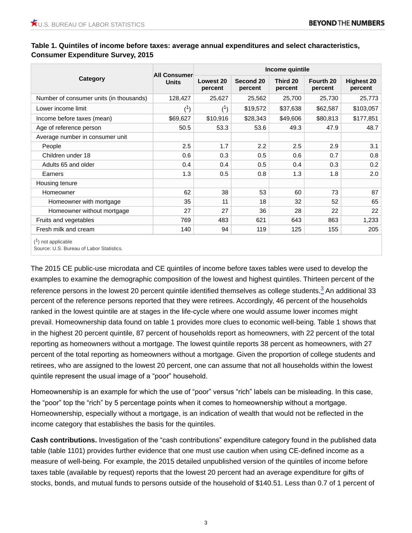|                                         | <b>All Consumer</b><br><b>Units</b> | Income quintile      |                      |                     |                      |                              |  |
|-----------------------------------------|-------------------------------------|----------------------|----------------------|---------------------|----------------------|------------------------------|--|
| Category                                |                                     | Lowest 20<br>percent | Second 20<br>percent | Third 20<br>percent | Fourth 20<br>percent | <b>Highest 20</b><br>percent |  |
| Number of consumer units (in thousands) | 128,427                             | 25,627               | 25,562               | 25,700              | 25,730               | 25,773                       |  |
| Lower income limit                      | (1)                                 |                      | \$19,572             | \$37,638            | \$62,587             | \$103,057                    |  |
| Income before taxes (mean)              | \$69,627                            | \$10,916             | \$28,343             | \$49,606            | \$80,813             | \$177,851                    |  |
| Age of reference person                 | 50.5                                | 53.3                 | 53.6                 | 49.3                | 47.9                 | 48.7                         |  |
| Average number in consumer unit         |                                     |                      |                      |                     |                      |                              |  |
| People                                  | 2.5                                 | 1.7                  | 2.2                  | 2.5                 | 2.9                  | 3.1                          |  |
| Children under 18                       | 0.6                                 | 0.3                  | 0.5                  | 0.6                 | 0.7                  | 0.8                          |  |
| Adults 65 and older                     | 0.4                                 | 0.4                  | 0.5                  | 0.4                 | 0.3                  | 0.2                          |  |
| Earners                                 | 1.3                                 | 0.5                  | 0.8                  | 1.3                 | 1.8                  | 2.0                          |  |
| Housing tenure                          |                                     |                      |                      |                     |                      |                              |  |
| Homeowner                               | 62                                  | 38                   | 53                   | 60                  | 73                   | 87                           |  |
| Homeowner with mortgage                 | 35                                  | 11                   | 18                   | 32                  | 52                   | 65                           |  |
| Homeowner without mortgage              | 27                                  | 27                   | 36                   | 28                  | 22                   | 22                           |  |
| Fruits and vegetables                   | 769                                 | 483                  | 621                  | 643                 | 863                  | 1,233                        |  |
| Fresh milk and cream                    | 140                                 | 94                   | 119                  | 125                 | 155                  | 205                          |  |

### **Table 1. Quintiles of income before taxes: average annual expenditures and select characteristics, Consumer Expenditure Survey, 2015**

 $(1)$  not applicable

<span id="page-2-0"></span>Source: U.S. Bureau of Labor Statistics.

The 2015 CE public-use microdata and CE quintiles of income before taxes tables were used to develop the examples to examine the demographic composition of the lowest and highest quintiles. Thirteen percent of the reference persons in the lowest 20 percent quintile identified themselves as college students. $^3$  $^3$  An additional 33 percent of the reference persons reported that they were retirees. Accordingly, 46 percent of the households ranked in the lowest quintile are at stages in the life-cycle where one would assume lower incomes might prevail. Homeownership data found on table 1 provides more clues to economic well-being. Table 1 shows that in the highest 20 percent quintile, 87 percent of households report as homeowners, with 22 percent of the total reporting as homeowners without a mortgage. The lowest quintile reports 38 percent as homeowners, with 27 percent of the total reporting as homeowners without a mortgage. Given the proportion of college students and retirees, who are assigned to the lowest 20 percent, one can assume that not all households within the lowest quintile represent the usual image of a "poor" household.

Homeownership is an example for which the use of "poor" versus "rich" labels can be misleading. In this case, the "poor" top the "rich" by 5 percentage points when it comes to homeownership without a mortgage. Homeownership, especially without a mortgage, is an indication of wealth that would not be reflected in the income category that establishes the basis for the quintiles.

**Cash contributions.** Investigation of the "cash contributions" expenditure category found in the published data table (table 1101) provides further evidence that one must use caution when using CE-defined income as a measure of well-being. For example, the 2015 detailed unpublished version of the quintiles of income before taxes table (available by request) reports that the lowest 20 percent had an average expenditure for gifts of stocks, bonds, and mutual funds to persons outside of the household of \$140.51. Less than 0.7 of 1 percent of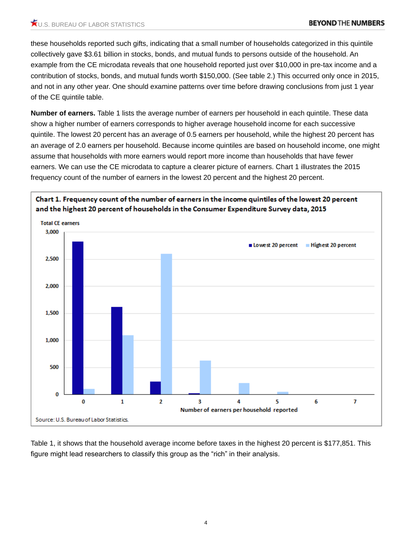these households reported such gifts, indicating that a small number of households categorized in this quintile collectively gave \$3.61 billion in stocks, bonds, and mutual funds to persons outside of the household. An example from the CE microdata reveals that one household reported just over \$10,000 in pre-tax income and a contribution of stocks, bonds, and mutual funds worth \$150,000. (See table 2.) This occurred only once in 2015, and not in any other year. One should examine patterns over time before drawing conclusions from just 1 year of the CE quintile table.

**Number of earners.** Table 1 lists the average number of earners per household in each quintile. These data show a higher number of earners corresponds to higher average household income for each successive quintile. The lowest 20 percent has an average of 0.5 earners per household, while the highest 20 percent has an average of 2.0 earners per household. Because income quintiles are based on household income, one might assume that households with more earners would report more income than households that have fewer earners. We can use the CE microdata to capture a clearer picture of earners. Chart 1 illustrates the 2015 frequency count of the number of earners in the lowest 20 percent and the highest 20 percent.



Chart 1. Frequency count of the number of earners in the income quintiles of the lowest 20 percent

Table 1, it shows that the household average income before taxes in the highest 20 percent is \$177,851. This figure might lead researchers to classify this group as the "rich" in their analysis.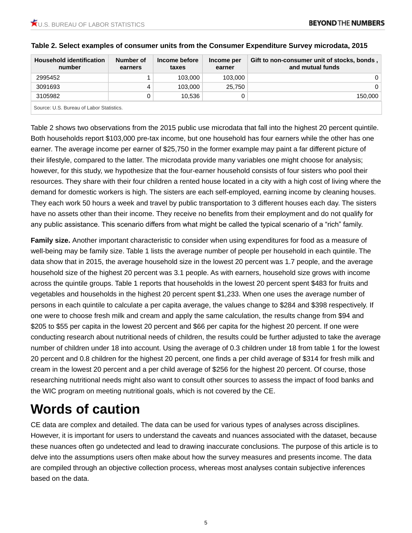| <b>Household identification</b><br>number | Number of<br>earners | Income before<br>taxes | Income per<br>earner | Gift to non-consumer unit of stocks, bonds,<br>and mutual funds |
|-------------------------------------------|----------------------|------------------------|----------------------|-----------------------------------------------------------------|
| 2995452                                   |                      | 103.000                | 103,000              |                                                                 |
| 3091693                                   |                      | 103,000                | 25,750               |                                                                 |
| 3105982                                   |                      | 10.536                 |                      | 150,000                                                         |
| Source: U.S. Bureau of Labor Statistics.  |                      |                        |                      |                                                                 |

#### **Table 2. Select examples of consumer units from the Consumer Expenditure Survey microdata, 2015**

Table 2 shows two observations from the 2015 public use microdata that fall into the highest 20 percent quintile. Both households report \$103,000 pre-tax income, but one household has four earners while the other has one earner. The average income per earner of \$25,750 in the former example may paint a far different picture of their lifestyle, compared to the latter. The microdata provide many variables one might choose for analysis; however, for this study, we hypothesize that the four-earner household consists of four sisters who pool their resources. They share with their four children a rented house located in a city with a high cost of living where the demand for domestic workers is high. The sisters are each self-employed, earning income by cleaning houses. They each work 50 hours a week and travel by public transportation to 3 different houses each day. The sisters have no assets other than their income. They receive no benefits from their employment and do not qualify for any public assistance. This scenario differs from what might be called the typical scenario of a "rich" family.

**Family size.** Another important characteristic to consider when using expenditures for food as a measure of well-being may be family size. Table 1 lists the average number of people per household in each quintile. The data show that in 2015, the average household size in the lowest 20 percent was 1.7 people, and the average household size of the highest 20 percent was 3.1 people. As with earners, household size grows with income across the quintile groups. Table 1 reports that households in the lowest 20 percent spent \$483 for fruits and vegetables and households in the highest 20 percent spent \$1,233. When one uses the average number of persons in each quintile to calculate a per capita average, the values change to \$284 and \$398 respectively. If one were to choose fresh milk and cream and apply the same calculation, the results change from \$94 and \$205 to \$55 per capita in the lowest 20 percent and \$66 per capita for the highest 20 percent. If one were conducting research about nutritional needs of children, the results could be further adjusted to take the average number of children under 18 into account. Using the average of 0.3 children under 18 from table 1 for the lowest 20 percent and 0.8 children for the highest 20 percent, one finds a per child average of \$314 for fresh milk and cream in the lowest 20 percent and a per child average of \$256 for the highest 20 percent. Of course, those researching nutritional needs might also want to consult other sources to assess the impact of food banks and the WIC program on meeting nutritional goals, which is not covered by the CE.

### **Words of caution**

CE data are complex and detailed. The data can be used for various types of analyses across disciplines. However, it is important for users to understand the caveats and nuances associated with the dataset, because these nuances often go undetected and lead to drawing inaccurate conclusions. The purpose of this article is to delve into the assumptions users often make about how the survey measures and presents income. The data are compiled through an objective collection process, whereas most analyses contain subjective inferences based on the data.